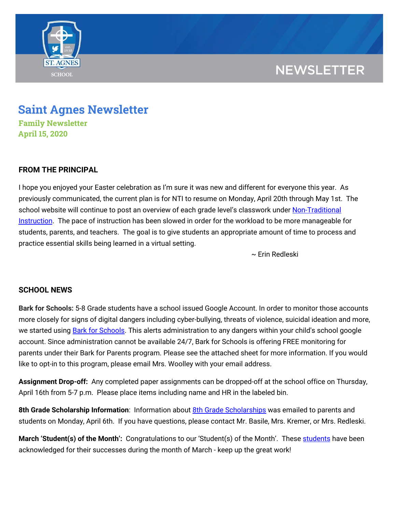

## **NEWSLETTER**

# **Saint Agnes Newsletter**

**Family Newsletter April 15, 2020**

## **FROM THE PRINCIPAL**

I hope you enjoyed your Easter celebration as I'm sure it was new and different for everyone this year. As previously communicated, the current plan is for NTI to resume on Monday, April 20th through May 1st. The school website will continue to post an overview of each grade level's classwork under [Non-Traditional](https://school.saintagnes.com/nti-instruction/) [Instruction](https://school.saintagnes.com/nti-instruction/). The pace of instruction has been slowed in order for the workload to be more manageable for students, parents, and teachers. The goal is to give students an appropriate amount of time to process and practice essential skills being learned in a virtual setting.

~ Erin Redleski

## **SCHOOL NEWS**

**Bark for Schools:** 5-8 Grade students have a school issued Google Account. In order to monitor those accounts more closely for signs of digital dangers including cyber-bullying, threats of violence, suicidal ideation and more, we started using **Bark for Schools**. This alerts administration to any dangers within your child's school google account. Since administration cannot be available 24/7, Bark for Schools is offering FREE monitoring for parents under their Bark for Parents program. Please see the attached sheet for more information. If you would like to opt-in to this program, please email Mrs. Woolley with your email address.

**Assignment Drop-off:** Any completed paper assignments can be dropped-off at the school office on Thursday, April 16th from 5-7 p.m. Please place items including name and HR in the labeled bin.

**8th Grade Scholarship Information**: Information about 8th Grade [Scholarships](https://drive.google.com/file/d/10zSYmvuLtER9TOCLRQ5SPWPvXgC84xdp/view?usp=sharing) was emailed to parents and students on Monday, April 6th. If you have questions, please contact Mr. Basile, Mrs. Kremer, or Mrs. Redleski.

**March 'Student(s) of the Month':** Congratulations to our 'Student(s) of the Month'. These [students](https://drive.google.com/file/d/11BLos4AMsgk41JypTV4Pt6_XoxfUW576/view?usp=sharing) have been acknowledged for their successes during the month of March - keep up the great work!